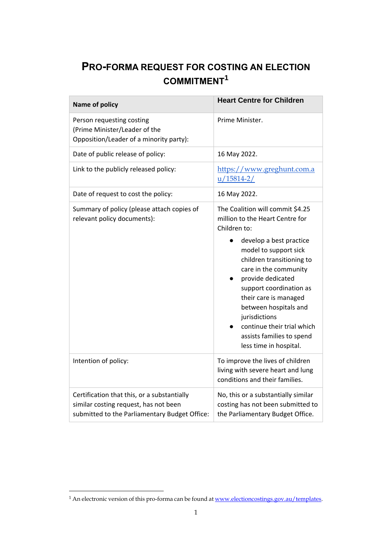## **PRO-FORMA REQUEST FOR COSTING AN ELECTION COMMITMENT<sup>1</sup>**

| <b>Name of policy</b>                                                                                                                 | <b>Heart Centre for Children</b>                                                                                                                                                                                                                                                                                                                                                                      |
|---------------------------------------------------------------------------------------------------------------------------------------|-------------------------------------------------------------------------------------------------------------------------------------------------------------------------------------------------------------------------------------------------------------------------------------------------------------------------------------------------------------------------------------------------------|
| Person requesting costing<br>(Prime Minister/Leader of the<br>Opposition/Leader of a minority party):                                 | Prime Minister.                                                                                                                                                                                                                                                                                                                                                                                       |
| Date of public release of policy:                                                                                                     | 16 May 2022.                                                                                                                                                                                                                                                                                                                                                                                          |
| Link to the publicly released policy:                                                                                                 | https://www.greghunt.com.a<br>$u/15814-2/$                                                                                                                                                                                                                                                                                                                                                            |
| Date of request to cost the policy:                                                                                                   | 16 May 2022.                                                                                                                                                                                                                                                                                                                                                                                          |
| Summary of policy (please attach copies of<br>relevant policy documents):                                                             | The Coalition will commit \$4.25<br>million to the Heart Centre for<br>Children to:<br>develop a best practice<br>model to support sick<br>children transitioning to<br>care in the community<br>provide dedicated<br>support coordination as<br>their care is managed<br>between hospitals and<br>jurisdictions<br>continue their trial which<br>assists families to spend<br>less time in hospital. |
| Intention of policy:                                                                                                                  | To improve the lives of children<br>living with severe heart and lung<br>conditions and their families.                                                                                                                                                                                                                                                                                               |
| Certification that this, or a substantially<br>similar costing request, has not been<br>submitted to the Parliamentary Budget Office: | No, this or a substantially similar<br>costing has not been submitted to<br>the Parliamentary Budget Office.                                                                                                                                                                                                                                                                                          |

<sup>&</sup>lt;sup>1</sup> An electronic version of this pro-forma can be found at <u>www.electioncostings.gov.au/templates</u>.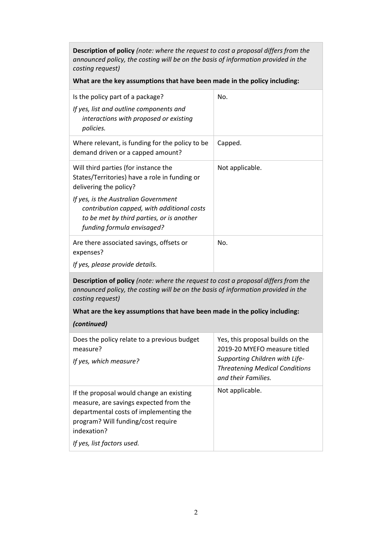**Description of policy** *(note: where the request to cost a proposal differs from the announced policy, the costing will be on the basis of information provided in the costing request)*

**What are the key assumptions that have been made in the policy including:**

| Is the policy part of a package?<br>If yes, list and outline components and<br>interactions with proposed or existing<br>policies.                      | No.             |
|---------------------------------------------------------------------------------------------------------------------------------------------------------|-----------------|
| Where relevant, is funding for the policy to be<br>demand driven or a capped amount?                                                                    | Capped.         |
| Will third parties (for instance the<br>States/Territories) have a role in funding or<br>delivering the policy?<br>If yes, is the Australian Government | Not applicable. |
| contribution capped, with additional costs<br>to be met by third parties, or is another<br>funding formula envisaged?                                   |                 |
| Are there associated savings, offsets or<br>expenses?                                                                                                   | No.             |
| If yes, please provide details.                                                                                                                         |                 |

**Description of policy** *(note: where the request to cost a proposal differs from the announced policy, the costing will be on the basis of information provided in the costing request)* 

**What are the key assumptions that have been made in the policy including:**

## *(continued)*

| Does the policy relate to a previous budget<br>measure?<br>If yes, which measure?                                                                                                 | Yes, this proposal builds on the<br>2019-20 MYEFO measure titled<br>Supporting Children with Life-<br><b>Threatening Medical Conditions</b><br>and their Families. |
|-----------------------------------------------------------------------------------------------------------------------------------------------------------------------------------|--------------------------------------------------------------------------------------------------------------------------------------------------------------------|
| If the proposal would change an existing<br>measure, are savings expected from the<br>departmental costs of implementing the<br>program? Will funding/cost require<br>indexation? | Not applicable.                                                                                                                                                    |
| If yes, list factors used.                                                                                                                                                        |                                                                                                                                                                    |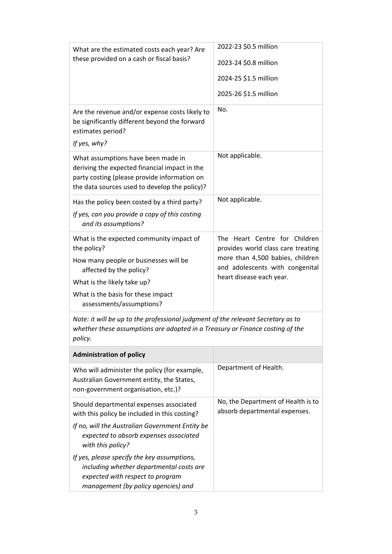| What are the estimated costs each year? Are<br>these provided on a cash or fiscal basis?                                                                                             | 2022-23 \$0.5 million                                               |
|--------------------------------------------------------------------------------------------------------------------------------------------------------------------------------------|---------------------------------------------------------------------|
|                                                                                                                                                                                      | 2023-24 \$0.8 million                                               |
|                                                                                                                                                                                      | 2024-25 \$1.5 million                                               |
|                                                                                                                                                                                      | 2025-26 \$1.5 million                                               |
| Are the revenue and/or expense costs likely to<br>be significantly different beyond the forward<br>estimates period?                                                                 | No.                                                                 |
| If yes, why?                                                                                                                                                                         |                                                                     |
| What assumptions have been made in<br>deriving the expected financial impact in the<br>party costing (please provide information on<br>the data sources used to develop the policy)? | Not applicable.                                                     |
| Has the policy been costed by a third party?                                                                                                                                         | Not applicable.                                                     |
| If yes, can you provide a copy of this costing<br>and its assumptions?                                                                                                               |                                                                     |
| What is the expected community impact of<br>the policy?                                                                                                                              | The Heart Centre for Children<br>provides world class care treating |
| How many people or businesses will be<br>affected by the policy?                                                                                                                     | more than 4,500 babies, children<br>and adolescents with congenital |
| What is the likely take up?                                                                                                                                                          | heart disease each year.                                            |
| What is the basis for these impact<br>assessments/assumptions?                                                                                                                       |                                                                     |
| Note: it will be up to the professional judgment of the relevant Secretary as to<br>whether these assumptions are adopted in a Treasury or Finance costing of the<br>policy.         |                                                                     |
| <b>Administration of policy</b>                                                                                                                                                      |                                                                     |
| Who will administer the policy (for example,<br>Australian Government entity, the States,<br>non-government organisation, etc.)?                                                     | Department of Health.                                               |
| Should departmental expenses associated<br>with this policy be included in this costing?                                                                                             | No, the Department of Health is to<br>absorb departmental expenses. |
| If no, will the Australian Government Entity be<br>expected to absorb expenses associated<br>with this policy?                                                                       |                                                                     |
| If yes, please specify the key assumptions,<br>including whether departmental costs are<br>expected with respect to program<br>management (by policy agencies) and                   |                                                                     |